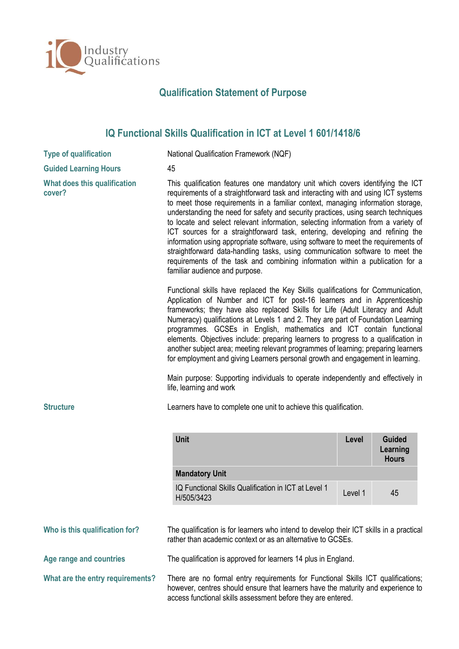

## **Qualification Statement of Purpose**

## **IQ Functional Skills Qualification in ICT at Level 1 601/1418/6**

| <b>Type of qualification</b>           | National Qualification Framework (NQF)                                                                                                                                                                                                                                                                                                                                                                                                                                                                                                                                                                                                                                                                                                                                                                                                                     |         |                          |  |
|----------------------------------------|------------------------------------------------------------------------------------------------------------------------------------------------------------------------------------------------------------------------------------------------------------------------------------------------------------------------------------------------------------------------------------------------------------------------------------------------------------------------------------------------------------------------------------------------------------------------------------------------------------------------------------------------------------------------------------------------------------------------------------------------------------------------------------------------------------------------------------------------------------|---------|--------------------------|--|
| <b>Guided Learning Hours</b>           | 45                                                                                                                                                                                                                                                                                                                                                                                                                                                                                                                                                                                                                                                                                                                                                                                                                                                         |         |                          |  |
| What does this qualification<br>cover? | This qualification features one mandatory unit which covers identifying the ICT<br>requirements of a straightforward task and interacting with and using ICT systems<br>to meet those requirements in a familiar context, managing information storage,<br>understanding the need for safety and security practices, using search techniques<br>to locate and select relevant information, selecting information from a variety of<br>ICT sources for a straightforward task, entering, developing and refining the<br>information using appropriate software, using software to meet the requirements of<br>straightforward data-handling tasks, using communication software to meet the<br>requirements of the task and combining information within a publication for a<br>familiar audience and purpose.                                              |         |                          |  |
| <b>Structure</b>                       | Functional skills have replaced the Key Skills qualifications for Communication,<br>Application of Number and ICT for post-16 learners and in Apprenticeship<br>frameworks; they have also replaced Skills for Life (Adult Literacy and Adult<br>Numeracy) qualifications at Levels 1 and 2. They are part of Foundation Learning<br>programmes. GCSEs in English, mathematics and ICT contain functional<br>elements. Objectives include: preparing learners to progress to a qualification in<br>another subject area; meeting relevant programmes of learning; preparing learners<br>for employment and giving Learners personal growth and engagement in learning.<br>Main purpose: Supporting individuals to operate independently and effectively in<br>life, learning and work<br>Learners have to complete one unit to achieve this qualification. |         |                          |  |
|                                        | <b>Unit</b>                                                                                                                                                                                                                                                                                                                                                                                                                                                                                                                                                                                                                                                                                                                                                                                                                                                | Level   | <b>Guided</b>            |  |
|                                        |                                                                                                                                                                                                                                                                                                                                                                                                                                                                                                                                                                                                                                                                                                                                                                                                                                                            |         | Learning<br><b>Hours</b> |  |
|                                        | <b>Mandatory Unit</b>                                                                                                                                                                                                                                                                                                                                                                                                                                                                                                                                                                                                                                                                                                                                                                                                                                      |         |                          |  |
|                                        | IQ Functional Skills Qualification in ICT at Level 1<br>H/505/3423                                                                                                                                                                                                                                                                                                                                                                                                                                                                                                                                                                                                                                                                                                                                                                                         | Level 1 | 45                       |  |
| Who is this qualification for?         | The qualification is for learners who intend to develop their ICT skills in a practical<br>rather than academic context or as an alternative to GCSEs.                                                                                                                                                                                                                                                                                                                                                                                                                                                                                                                                                                                                                                                                                                     |         |                          |  |
| Age range and countries                | The qualification is approved for learners 14 plus in England.                                                                                                                                                                                                                                                                                                                                                                                                                                                                                                                                                                                                                                                                                                                                                                                             |         |                          |  |

**What are the entry requirements?** There are no formal entry requirements for Functional Skills ICT qualifications; however, centres should ensure that learners have the maturity and experience to access functional skills assessment before they are entered.